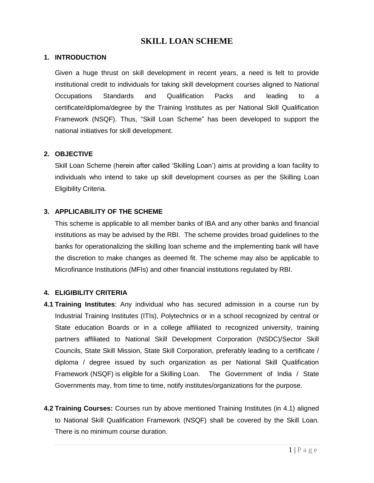# **SKILL LOAN SCHEME**

#### **1. INTRODUCTION**

Given a huge thrust on skill development in recent years, a need is felt to provide institutional credit to individuals for taking skill development courses aligned to National Occupations Standards and Qualification Packs and leading to a certificate/diploma/degree by the Training Institutes as per National Skill Qualification Framework (NSQF). Thus, "Skill Loan Scheme" has been developed to support the national initiatives for skill development.

## **2. OBJECTIVE**

Skill Loan Scheme (herein after called "Skilling Loan") aims at providing a loan facility to individuals who intend to take up skill development courses as per the Skilling Loan Eligibility Criteria.

## **3. APPLICABILITY OF THE SCHEME**

This scheme is applicable to all member banks of IBA and any other banks and financial institutions as may be advised by the RBI. The scheme provides broad guidelines to the banks for operationalizing the skilling loan scheme and the implementing bank will have the discretion to make changes as deemed fit. The scheme may also be applicable to Microfinance Institutions (MFIs) and other financial institutions regulated by RBI.

## **4. ELIGIBILITY CRITERIA**

- **4.1 Training Institutes**: Any individual who has secured admission in a course run by Industrial Training Institutes (ITIs), Polytechnics or in a school recognized by central or State education Boards or in a college affiliated to recognized university, training partners affiliated to National Skill Development Corporation (NSDC)/Sector Skill Councils, State Skill Mission, State Skill Corporation, preferably leading to a certificate / diploma / degree issued by such organization as per National Skill Qualification Framework (NSQF) is eligible for a Skilling Loan. The Government of India / State Governments may, from time to time, notify institutes/organizations for the purpose.
- **4.2 Training Courses:** Courses run by above mentioned Training Institutes (in 4.1) aligned to National Skill Qualification Framework (NSQF) shall be covered by the Skill Loan. There is no minimum course duration.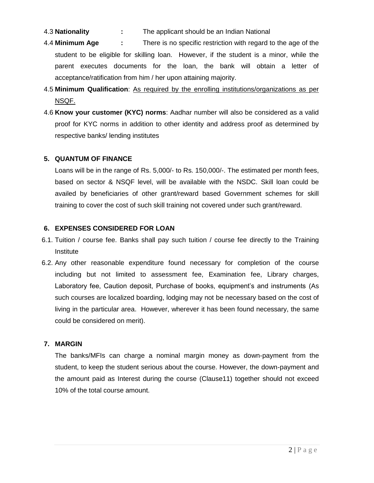- 4.3 **Nationality :** The applicant should be an Indian National
- 4.4 **Minimum Age :** There is no specific restriction with regard to the age of the student to be eligible for skilling loan. However, if the student is a minor, while the parent executes documents for the loan, the bank will obtain a letter of acceptance/ratification from him / her upon attaining majority.
- 4.5 **Minimum Qualification**: As required by the enrolling institutions/organizations as per NSQF.
- 4.6 **Know your customer (KYC) norms**: Aadhar number will also be considered as a valid proof for KYC norms in addition to other identity and address proof as determined by respective banks/ lending institutes

## **5. QUANTUM OF FINANCE**

Loans will be in the range of Rs. 5,000/- to Rs. 150,000/-. The estimated per month fees, based on sector & NSQF level, will be available with the NSDC. Skill loan could be availed by beneficiaries of other grant/reward based Government schemes for skill training to cover the cost of such skill training not covered under such grant/reward.

## **6. EXPENSES CONSIDERED FOR LOAN**

- 6.1. Tuition / course fee. Banks shall pay such tuition / course fee directly to the Training Institute
- 6.2. Any other reasonable expenditure found necessary for completion of the course including but not limited to assessment fee, Examination fee, Library charges, Laboratory fee, Caution deposit, Purchase of books, equipment's and instruments (As such courses are localized boarding, lodging may not be necessary based on the cost of living in the particular area. However, wherever it has been found necessary, the same could be considered on merit).

## **7. MARGIN**

The banks/MFIs can charge a nominal margin money as down-payment from the student, to keep the student serious about the course. However, the down-payment and the amount paid as Interest during the course (Clause11) together should not exceed 10% of the total course amount.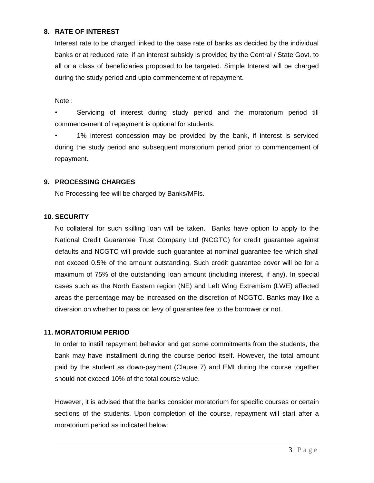## **8. RATE OF INTEREST**

Interest rate to be charged linked to the base rate of banks as decided by the individual banks or at reduced rate, if an interest subsidy is provided by the Central / State Govt. to all or a class of beneficiaries proposed to be targeted. Simple Interest will be charged during the study period and upto commencement of repayment.

Note :

• Servicing of interest during study period and the moratorium period till commencement of repayment is optional for students.

• 1% interest concession may be provided by the bank, if interest is serviced during the study period and subsequent moratorium period prior to commencement of repayment.

## **9. PROCESSING CHARGES**

No Processing fee will be charged by Banks/MFIs.

#### **10. SECURITY**

No collateral for such skilling loan will be taken. Banks have option to apply to the National Credit Guarantee Trust Company Ltd (NCGTC) for credit guarantee against defaults and NCGTC will provide such guarantee at nominal guarantee fee which shall not exceed 0.5% of the amount outstanding. Such credit guarantee cover will be for a maximum of 75% of the outstanding loan amount (including interest, if any). In special cases such as the North Eastern region (NE) and Left Wing Extremism (LWE) affected areas the percentage may be increased on the discretion of NCGTC. Banks may like a diversion on whether to pass on levy of guarantee fee to the borrower or not.

## **11. MORATORIUM PERIOD**

In order to instill repayment behavior and get some commitments from the students, the bank may have installment during the course period itself. However, the total amount paid by the student as down-payment (Clause 7) and EMI during the course together should not exceed 10% of the total course value.

However, it is advised that the banks consider moratorium for specific courses or certain sections of the students. Upon completion of the course, repayment will start after a moratorium period as indicated below: